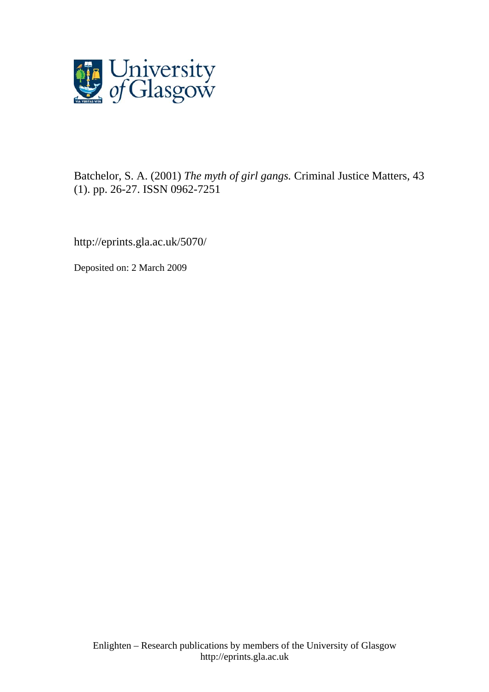

# Batchelor, S. A. (2001) *The myth of girl gangs.* Criminal Justice Matters, 43 (1). pp. 26-27. ISSN 0962-7251

http://eprints.gla.ac.uk/5070/

Deposited on: 2 March 2009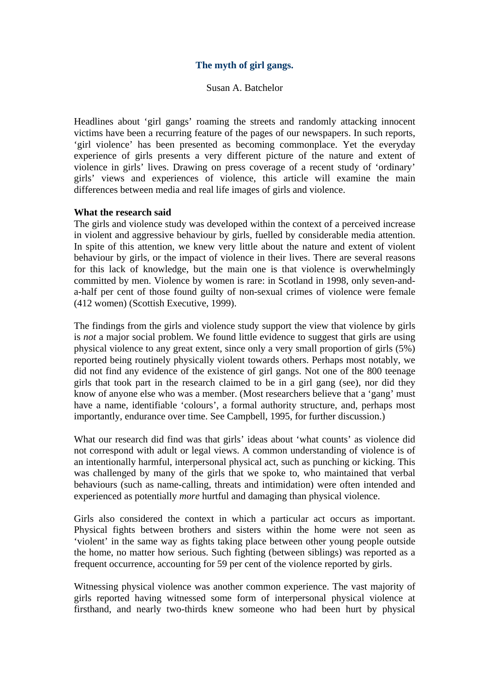## **The myth of girl gangs.**

Susan A. Batchelor

Headlines about 'girl gangs' roaming the streets and randomly attacking innocent victims have been a recurring feature of the pages of our newspapers. In such reports, 'girl violence' has been presented as becoming commonplace. Yet the everyday experience of girls presents a very different picture of the nature and extent of violence in girls' lives. Drawing on press coverage of a recent study of 'ordinary' girls' views and experiences of violence, this article will examine the main differences between media and real life images of girls and violence.

## **What the research said**

The girls and violence study was developed within the context of a perceived increase in violent and aggressive behaviour by girls, fuelled by considerable media attention. In spite of this attention, we knew very little about the nature and extent of violent behaviour by girls, or the impact of violence in their lives. There are several reasons for this lack of knowledge, but the main one is that violence is overwhelmingly committed by men. Violence by women is rare: in Scotland in 1998, only seven-anda-half per cent of those found guilty of non-sexual crimes of violence were female (412 women) (Scottish Executive, 1999).

The findings from the girls and violence study support the view that violence by girls is *not* a major social problem. We found little evidence to suggest that girls are using physical violence to any great extent, since only a very small proportion of girls (5%) reported being routinely physically violent towards others. Perhaps most notably, we did not find any evidence of the existence of girl gangs. Not one of the 800 teenage girls that took part in the research claimed to be in a girl gang (see), nor did they know of anyone else who was a member. (Most researchers believe that a 'gang' must have a name, identifiable 'colours', a formal authority structure, and, perhaps most importantly, endurance over time. See Campbell, 1995, for further discussion.)

What our research did find was that girls' ideas about 'what counts' as violence did not correspond with adult or legal views. A common understanding of violence is of an intentionally harmful, interpersonal physical act, such as punching or kicking. This was challenged by many of the girls that we spoke to, who maintained that verbal behaviours (such as name-calling, threats and intimidation) were often intended and experienced as potentially *more* hurtful and damaging than physical violence.

Girls also considered the context in which a particular act occurs as important. Physical fights between brothers and sisters within the home were not seen as 'violent' in the same way as fights taking place between other young people outside the home, no matter how serious. Such fighting (between siblings) was reported as a frequent occurrence, accounting for 59 per cent of the violence reported by girls.

Witnessing physical violence was another common experience. The vast majority of girls reported having witnessed some form of interpersonal physical violence at firsthand, and nearly two-thirds knew someone who had been hurt by physical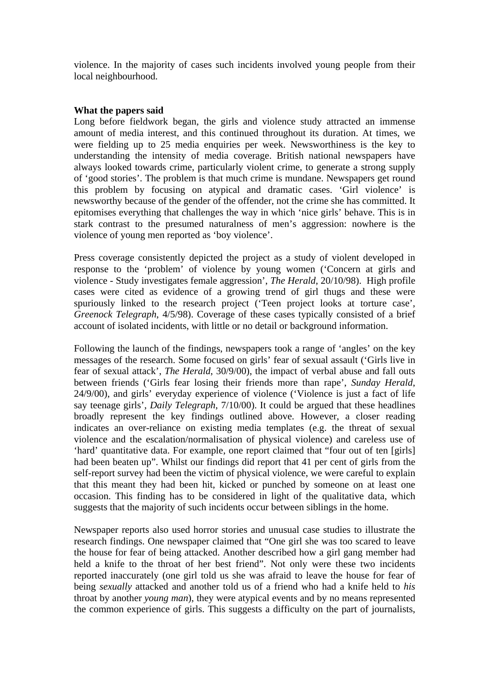violence. In the majority of cases such incidents involved young people from their local neighbourhood.

### **What the papers said**

Long before fieldwork began, the girls and violence study attracted an immense amount of media interest, and this continued throughout its duration. At times, we were fielding up to 25 media enquiries per week. Newsworthiness is the key to understanding the intensity of media coverage. British national newspapers have always looked towards crime, particularly violent crime, to generate a strong supply of 'good stories'. The problem is that much crime is mundane. Newspapers get round this problem by focusing on atypical and dramatic cases. 'Girl violence' is newsworthy because of the gender of the offender, not the crime she has committed. It epitomises everything that challenges the way in which 'nice girls' behave. This is in stark contrast to the presumed naturalness of men's aggression: nowhere is the violence of young men reported as 'boy violence'.

Press coverage consistently depicted the project as a study of violent developed in response to the 'problem' of violence by young women ('Concern at girls and violence - Study investigates female aggression', *The Herald*, 20/10/98). High profile cases were cited as evidence of a growing trend of girl thugs and these were spuriously linked to the research project ('Teen project looks at torture case', *Greenock Telegraph*, 4/5/98). Coverage of these cases typically consisted of a brief account of isolated incidents, with little or no detail or background information.

Following the launch of the findings, newspapers took a range of 'angles' on the key messages of the research. Some focused on girls' fear of sexual assault ('Girls live in fear of sexual attack', *The Herald*, 30/9/00), the impact of verbal abuse and fall outs between friends ('Girls fear losing their friends more than rape', *Sunday Herald*, 24/9/00), and girls' everyday experience of violence ('Violence is just a fact of life say teenage girls', *Daily Telegraph*, 7/10/00). It could be argued that these headlines broadly represent the key findings outlined above. However, a closer reading indicates an over-reliance on existing media templates (e.g. the threat of sexual violence and the escalation/normalisation of physical violence) and careless use of 'hard' quantitative data. For example, one report claimed that "four out of ten [girls] had been beaten up". Whilst our findings did report that 41 per cent of girls from the self-report survey had been the victim of physical violence, we were careful to explain that this meant they had been hit, kicked or punched by someone on at least one occasion. This finding has to be considered in light of the qualitative data, which suggests that the majority of such incidents occur between siblings in the home.

Newspaper reports also used horror stories and unusual case studies to illustrate the research findings. One newspaper claimed that "One girl she was too scared to leave the house for fear of being attacked. Another described how a girl gang member had held a knife to the throat of her best friend". Not only were these two incidents reported inaccurately (one girl told us she was afraid to leave the house for fear of being *sexually* attacked and another told us of a friend who had a knife held to *his* throat by another *young man*), they were atypical events and by no means represented the common experience of girls. This suggests a difficulty on the part of journalists,